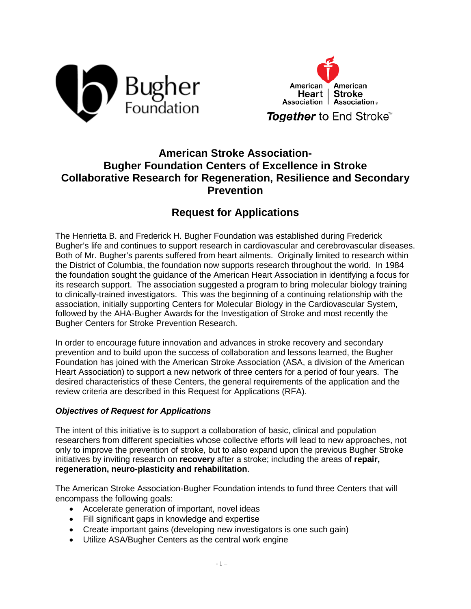



# **American Stroke Association-Bugher Foundation Centers of Excellence in Stroke Collaborative Research for Regeneration, Resilience and Secondary Prevention**

# **Request for Applications**

The Henrietta B. and Frederick H. Bugher Foundation was established during Frederick Bugher's life and continues to support research in cardiovascular and cerebrovascular diseases. Both of Mr. Bugher's parents suffered from heart ailments. Originally limited to research within the District of Columbia, the foundation now supports research throughout the world. In 1984 the foundation sought the guidance of the American Heart Association in identifying a focus for its research support. The association suggested a program to bring molecular biology training to clinically-trained investigators. This was the beginning of a continuing relationship with the association, initially supporting Centers for Molecular Biology in the Cardiovascular System, followed by the AHA-Bugher Awards for the Investigation of Stroke and most recently the Bugher Centers for Stroke Prevention Research.

In order to encourage future innovation and advances in stroke recovery and secondary prevention and to build upon the success of collaboration and lessons learned, the Bugher Foundation has joined with the American Stroke Association (ASA, a division of the American Heart Association) to support a new network of three centers for a period of four years. The desired characteristics of these Centers, the general requirements of the application and the review criteria are described in this Request for Applications (RFA).

#### *Objectives of Request for Applications*

The intent of this initiative is to support a collaboration of basic, clinical and population researchers from different specialties whose collective efforts will lead to new approaches, not only to improve the prevention of stroke, but to also expand upon the previous Bugher Stroke initiatives by inviting research on **recovery** after a stroke; including the areas of **repair, regeneration, neuro-plasticity and rehabilitation**.

The American Stroke Association-Bugher Foundation intends to fund three Centers that will encompass the following goals:

- Accelerate generation of important, novel ideas
- Fill significant gaps in knowledge and expertise
- Create important gains (developing new investigators is one such gain)
- Utilize ASA/Bugher Centers as the central work engine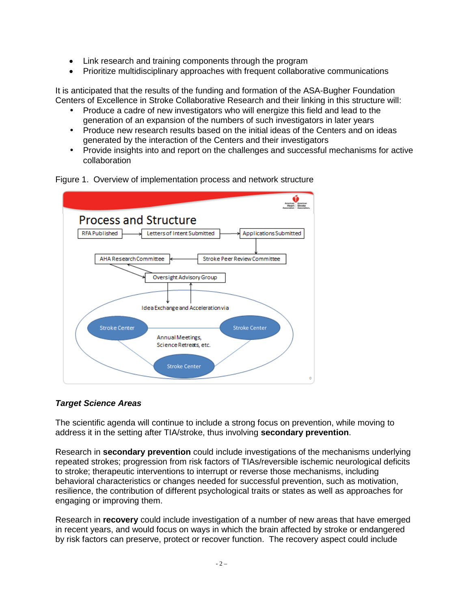- Link research and training components through the program
- Prioritize multidisciplinary approaches with frequent collaborative communications

It is anticipated that the results of the funding and formation of the ASA-Bugher Foundation Centers of Excellence in Stroke Collaborative Research and their linking in this structure will:

- Produce a cadre of new investigators who will energize this field and lead to the generation of an expansion of the numbers of such investigators in later years
- Produce new research results based on the initial ideas of the Centers and on ideas generated by the interaction of the Centers and their investigators
- Provide insights into and report on the challenges and successful mechanisms for active collaboration



Figure 1. Overview of implementation process and network structure

## *Target Science Areas*

The scientific agenda will continue to include a strong focus on prevention, while moving to address it in the setting after TIA/stroke, thus involving **secondary prevention**.

Research in **secondary prevention** could include investigations of the mechanisms underlying repeated strokes; progression from risk factors of TIAs/reversible ischemic neurological deficits to stroke; therapeutic interventions to interrupt or reverse those mechanisms, including behavioral characteristics or changes needed for successful prevention, such as motivation, resilience, the contribution of different psychological traits or states as well as approaches for engaging or improving them.

Research in **recovery** could include investigation of a number of new areas that have emerged in recent years, and would focus on ways in which the brain affected by stroke or endangered by risk factors can preserve, protect or recover function. The recovery aspect could include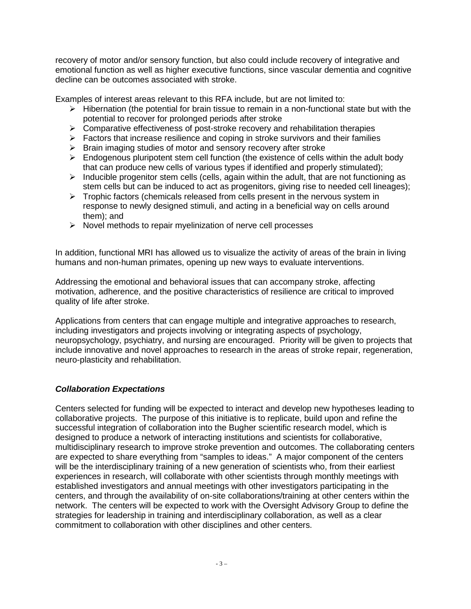recovery of motor and/or sensory function, but also could include recovery of integrative and emotional function as well as higher executive functions, since vascular dementia and cognitive decline can be outcomes associated with stroke.

Examples of interest areas relevant to this RFA include, but are not limited to:

- $\triangleright$  Hibernation (the potential for brain tissue to remain in a non-functional state but with the potential to recover for prolonged periods after stroke
- $\triangleright$  Comparative effectiveness of post-stroke recovery and rehabilitation therapies
- $\triangleright$  Factors that increase resilience and coping in stroke survivors and their families
- $\triangleright$  Brain imaging studies of motor and sensory recovery after stroke
- $\triangleright$  Endogenous pluripotent stem cell function (the existence of cells within the adult body that can produce new cells of various types if identified and properly stimulated);
- $\triangleright$  Inducible progenitor stem cells (cells, again within the adult, that are not functioning as stem cells but can be induced to act as progenitors, giving rise to needed cell lineages);
- $\triangleright$  Trophic factors (chemicals released from cells present in the nervous system in response to newly designed stimuli, and acting in a beneficial way on cells around them); and
- $\triangleright$  Novel methods to repair myelinization of nerve cell processes

In addition, functional MRI has allowed us to visualize the activity of areas of the brain in living humans and non-human primates, opening up new ways to evaluate interventions.

Addressing the emotional and behavioral issues that can accompany stroke, affecting motivation, adherence, and the positive characteristics of resilience are critical to improved quality of life after stroke.

Applications from centers that can engage multiple and integrative approaches to research, including investigators and projects involving or integrating aspects of psychology, neuropsychology, psychiatry, and nursing are encouraged. Priority will be given to projects that include innovative and novel approaches to research in the areas of stroke repair, regeneration, neuro-plasticity and rehabilitation.

## *Collaboration Expectations*

Centers selected for funding will be expected to interact and develop new hypotheses leading to collaborative projects. The purpose of this initiative is to replicate, build upon and refine the successful integration of collaboration into the Bugher scientific research model, which is designed to produce a network of interacting institutions and scientists for collaborative, multidisciplinary research to improve stroke prevention and outcomes. The collaborating centers are expected to share everything from "samples to ideas." A major component of the centers will be the interdisciplinary training of a new generation of scientists who, from their earliest experiences in research, will collaborate with other scientists through monthly meetings with established investigators and annual meetings with other investigators participating in the centers, and through the availability of on-site collaborations/training at other centers within the network. The centers will be expected to work with the Oversight Advisory Group to define the strategies for leadership in training and interdisciplinary collaboration, as well as a clear commitment to collaboration with other disciplines and other centers.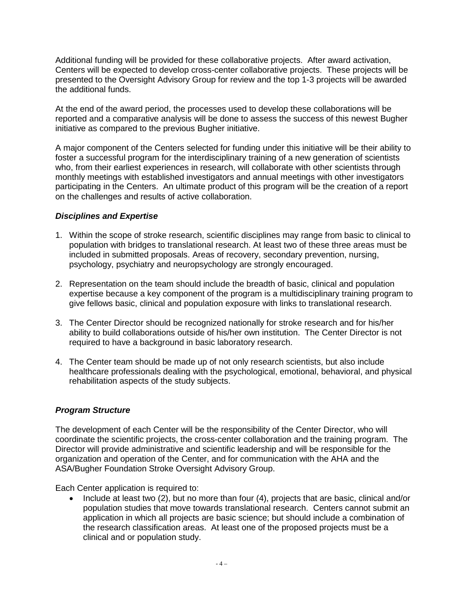Additional funding will be provided for these collaborative projects. After award activation, Centers will be expected to develop cross-center collaborative projects. These projects will be presented to the Oversight Advisory Group for review and the top 1-3 projects will be awarded the additional funds.

At the end of the award period, the processes used to develop these collaborations will be reported and a comparative analysis will be done to assess the success of this newest Bugher initiative as compared to the previous Bugher initiative.

A major component of the Centers selected for funding under this initiative will be their ability to foster a successful program for the interdisciplinary training of a new generation of scientists who, from their earliest experiences in research, will collaborate with other scientists through monthly meetings with established investigators and annual meetings with other investigators participating in the Centers. An ultimate product of this program will be the creation of a report on the challenges and results of active collaboration.

#### *Disciplines and Expertise*

- 1. Within the scope of stroke research, scientific disciplines may range from basic to clinical to population with bridges to translational research. At least two of these three areas must be included in submitted proposals. Areas of recovery, secondary prevention, nursing, psychology, psychiatry and neuropsychology are strongly encouraged.
- 2. Representation on the team should include the breadth of basic, clinical and population expertise because a key component of the program is a multidisciplinary training program to give fellows basic, clinical and population exposure with links to translational research.
- 3. The Center Director should be recognized nationally for stroke research and for his/her ability to build collaborations outside of his/her own institution. The Center Director is not required to have a background in basic laboratory research.
- 4. The Center team should be made up of not only research scientists, but also include healthcare professionals dealing with the psychological, emotional, behavioral, and physical rehabilitation aspects of the study subjects.

#### *Program Structure*

The development of each Center will be the responsibility of the Center Director, who will coordinate the scientific projects, the cross-center collaboration and the training program. The Director will provide administrative and scientific leadership and will be responsible for the organization and operation of the Center, and for communication with the AHA and the ASA/Bugher Foundation Stroke Oversight Advisory Group.

Each Center application is required to:

• Include at least two (2), but no more than four (4), projects that are basic, clinical and/or population studies that move towards translational research. Centers cannot submit an application in which all projects are basic science; but should include a combination of the research classification areas. At least one of the proposed projects must be a clinical and or population study.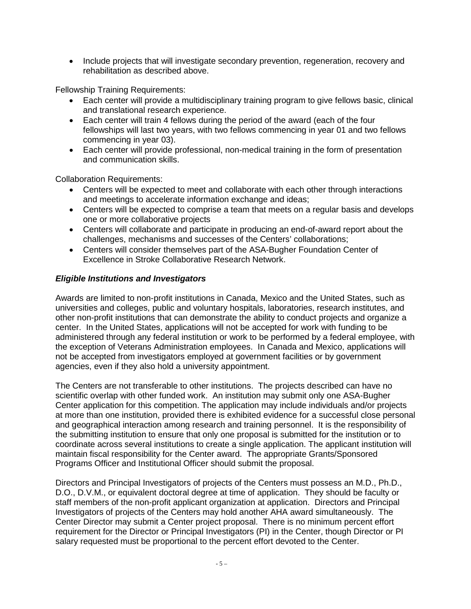• Include projects that will investigate secondary prevention, regeneration, recovery and rehabilitation as described above.

Fellowship Training Requirements:

- Each center will provide a multidisciplinary training program to give fellows basic, clinical and translational research experience.
- Each center will train 4 fellows during the period of the award (each of the four fellowships will last two years, with two fellows commencing in year 01 and two fellows commencing in year 03).
- Each center will provide professional, non-medical training in the form of presentation and communication skills.

Collaboration Requirements:

- Centers will be expected to meet and collaborate with each other through interactions and meetings to accelerate information exchange and ideas;
- Centers will be expected to comprise a team that meets on a regular basis and develops one or more collaborative projects
- Centers will collaborate and participate in producing an end-of-award report about the challenges, mechanisms and successes of the Centers' collaborations;
- Centers will consider themselves part of the ASA-Bugher Foundation Center of Excellence in Stroke Collaborative Research Network.

#### *Eligible Institutions and Investigators*

Awards are limited to non-profit institutions in Canada, Mexico and the United States, such as universities and colleges, public and voluntary hospitals, laboratories, research institutes, and other non-profit institutions that can demonstrate the ability to conduct projects and organize a center. In the United States, applications will not be accepted for work with funding to be administered through any federal institution or work to be performed by a federal employee, with the exception of Veterans Administration employees. In Canada and Mexico, applications will not be accepted from investigators employed at government facilities or by government agencies, even if they also hold a university appointment.

The Centers are not transferable to other institutions. The projects described can have no scientific overlap with other funded work. An institution may submit only one ASA-Bugher Center application for this competition. The application may include individuals and/or projects at more than one institution, provided there is exhibited evidence for a successful close personal and geographical interaction among research and training personnel. It is the responsibility of the submitting institution to ensure that only one proposal is submitted for the institution or to coordinate across several institutions to create a single application. The applicant institution will maintain fiscal responsibility for the Center award. The appropriate Grants/Sponsored Programs Officer and Institutional Officer should submit the proposal.

Directors and Principal Investigators of projects of the Centers must possess an M.D., Ph.D., D.O., D.V.M., or equivalent doctoral degree at time of application. They should be faculty or staff members of the non-profit applicant organization at application. Directors and Principal Investigators of projects of the Centers may hold another AHA award simultaneously. The Center Director may submit a Center project proposal. There is no minimum percent effort requirement for the Director or Principal Investigators (PI) in the Center, though Director or PI salary requested must be proportional to the percent effort devoted to the Center.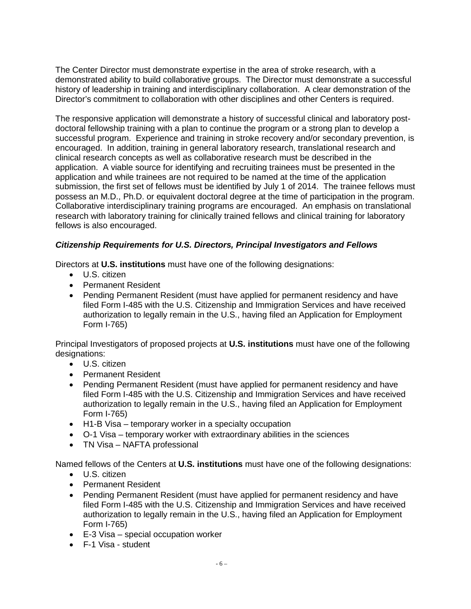The Center Director must demonstrate expertise in the area of stroke research, with a demonstrated ability to build collaborative groups. The Director must demonstrate a successful history of leadership in training and interdisciplinary collaboration. A clear demonstration of the Director's commitment to collaboration with other disciplines and other Centers is required.

The responsive application will demonstrate a history of successful clinical and laboratory postdoctoral fellowship training with a plan to continue the program or a strong plan to develop a successful program. Experience and training in stroke recovery and/or secondary prevention, is encouraged. In addition, training in general laboratory research, translational research and clinical research concepts as well as collaborative research must be described in the application. A viable source for identifying and recruiting trainees must be presented in the application and while trainees are not required to be named at the time of the application submission, the first set of fellows must be identified by July 1 of 2014. The trainee fellows must possess an M.D., Ph.D. or equivalent doctoral degree at the time of participation in the program. Collaborative interdisciplinary training programs are encouraged. An emphasis on translational research with laboratory training for clinically trained fellows and clinical training for laboratory fellows is also encouraged.

## *Citizenship Requirements for U.S. Directors, Principal Investigators and Fellows*

Directors at **U.S. institutions** must have one of the following designations:

- U.S. citizen
- Permanent Resident
- Pending Permanent Resident (must have applied for permanent residency and have filed Form I-485 with the U.S. Citizenship and Immigration Services and have received authorization to legally remain in the U.S., having filed an Application for Employment Form I-765)

Principal Investigators of proposed projects at **U.S. institutions** must have one of the following designations:

- U.S. citizen
- Permanent Resident
- Pending Permanent Resident (must have applied for permanent residency and have filed Form I-485 with the U.S. Citizenship and Immigration Services and have received authorization to legally remain in the U.S., having filed an Application for Employment Form I-765)
- H1-B Visa temporary worker in a specialty occupation
- O-1 Visa temporary worker with extraordinary abilities in the sciences
- TN Visa NAFTA professional

Named fellows of the Centers at **U.S. institutions** must have one of the following designations:

- U.S. citizen
- Permanent Resident
- Pending Permanent Resident (must have applied for permanent residency and have filed Form I-485 with the U.S. Citizenship and Immigration Services and have received authorization to legally remain in the U.S., having filed an Application for Employment Form I-765)
- E-3 Visa special occupation worker
- F-1 Visa student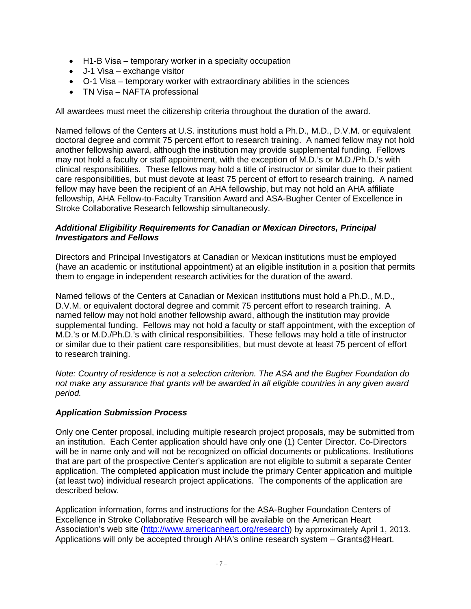- H1-B Visa temporary worker in a specialty occupation
- J-1 Visa exchange visitor
- O-1 Visa temporary worker with extraordinary abilities in the sciences
- TN Visa NAFTA professional

All awardees must meet the citizenship criteria throughout the duration of the award.

Named fellows of the Centers at U.S. institutions must hold a Ph.D., M.D., D.V.M. or equivalent doctoral degree and commit 75 percent effort to research training. A named fellow may not hold another fellowship award, although the institution may provide supplemental funding. Fellows may not hold a faculty or staff appointment, with the exception of M.D.'s or M.D./Ph.D.'s with clinical responsibilities. These fellows may hold a title of instructor or similar due to their patient care responsibilities, but must devote at least 75 percent of effort to research training. A named fellow may have been the recipient of an AHA fellowship, but may not hold an AHA affiliate fellowship, AHA Fellow-to-Faculty Transition Award and ASA-Bugher Center of Excellence in Stroke Collaborative Research fellowship simultaneously.

#### *Additional Eligibility Requirements for Canadian or Mexican Directors, Principal Investigators and Fellows*

Directors and Principal Investigators at Canadian or Mexican institutions must be employed (have an academic or institutional appointment) at an eligible institution in a position that permits them to engage in independent research activities for the duration of the award.

Named fellows of the Centers at Canadian or Mexican institutions must hold a Ph.D., M.D., D.V.M. or equivalent doctoral degree and commit 75 percent effort to research training. A named fellow may not hold another fellowship award, although the institution may provide supplemental funding. Fellows may not hold a faculty or staff appointment, with the exception of M.D.'s or M.D./Ph.D.'s with clinical responsibilities. These fellows may hold a title of instructor or similar due to their patient care responsibilities, but must devote at least 75 percent of effort to research training.

*Note: Country of residence is not a selection criterion. The ASA and the Bugher Foundation do not make any assurance that grants will be awarded in all eligible countries in any given award period.*

#### *Application Submission Process*

Only one Center proposal, including multiple research project proposals, may be submitted from an institution. Each Center application should have only one (1) Center Director. Co-Directors will be in name only and will not be recognized on official documents or publications. Institutions that are part of the prospective Center's application are not eligible to submit a separate Center application. The completed application must include the primary Center application and multiple (at least two) individual research project applications. The components of the application are described below.

Application information, forms and instructions for the ASA-Bugher Foundation Centers of Excellence in Stroke Collaborative Research will be available on the American Heart Association's web site [\(http://www.americanheart.org/research\)](http://my.americanheart.org/professional/Research/Research_UCM_316889_SubHomePage.jsp) by approximately April 1, 2013. Applications will only be accepted through AHA's online research system – Grants@Heart.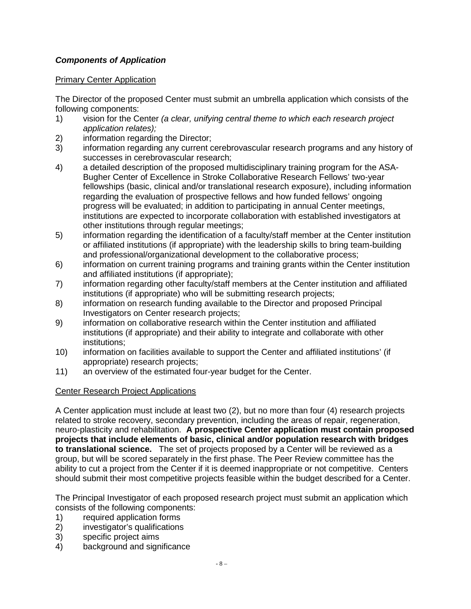## *Components of Application*

## Primary Center Application

The Director of the proposed Center must submit an umbrella application which consists of the following components:

- 1) vision for the Center *(a clear, unifying central theme to which each research project application relates);*
- 2) information regarding the Director;<br>3) information regarding any current c
- information regarding any current cerebrovascular research programs and any history of successes in cerebrovascular research;
- 4) a detailed description of the proposed multidisciplinary training program for the ASA-Bugher Center of Excellence in Stroke Collaborative Research Fellows' two-year fellowships (basic, clinical and/or translational research exposure), including information regarding the evaluation of prospective fellows and how funded fellows' ongoing progress will be evaluated; in addition to participating in annual Center meetings, institutions are expected to incorporate collaboration with established investigators at other institutions through regular meetings;
- 5) information regarding the identification of a faculty/staff member at the Center institution or affiliated institutions (if appropriate) with the leadership skills to bring team-building and professional/organizational development to the collaborative process;
- 6) information on current training programs and training grants within the Center institution and affiliated institutions (if appropriate);
- 7) information regarding other faculty/staff members at the Center institution and affiliated institutions (if appropriate) who will be submitting research projects;
- 8) information on research funding available to the Director and proposed Principal Investigators on Center research projects;
- 9) information on collaborative research within the Center institution and affiliated institutions (if appropriate) and their ability to integrate and collaborate with other institutions;
- 10) information on facilities available to support the Center and affiliated institutions' (if appropriate) research projects;
- 11) an overview of the estimated four-year budget for the Center.

## Center Research Project Applications

A Center application must include at least two (2), but no more than four (4) research projects related to stroke recovery, secondary prevention, including the areas of repair, regeneration, neuro-plasticity and rehabilitation. **A prospective Center application must contain proposed projects that include elements of basic, clinical and/or population research with bridges to translational science.** The set of projects proposed by a Center will be reviewed as a group, but will be scored separately in the first phase. The Peer Review committee has the ability to cut a project from the Center if it is deemed inappropriate or not competitive. Centers should submit their most competitive projects feasible within the budget described for a Center.

The Principal Investigator of each proposed research project must submit an application which consists of the following components:

- 1) required application forms
- 2) investigator's qualifications
- 3) specific project aims
- 4) background and significance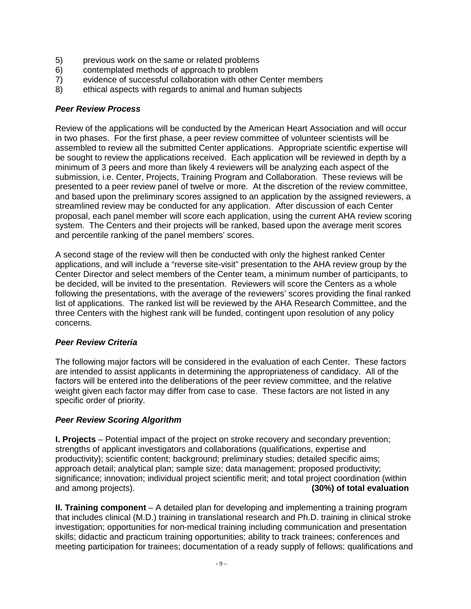- 5) previous work on the same or related problems<br>6) contemplated methods of approach to problem
- contemplated methods of approach to problem
- 7) evidence of successful collaboration with other Center members
- 8) ethical aspects with regards to animal and human subjects

#### *Peer Review Process*

Review of the applications will be conducted by the American Heart Association and will occur in two phases. For the first phase, a peer review committee of volunteer scientists will be assembled to review all the submitted Center applications. Appropriate scientific expertise will be sought to review the applications received. Each application will be reviewed in depth by a minimum of 3 peers and more than likely 4 reviewers will be analyzing each aspect of the submission, i.e. Center, Projects, Training Program and Collaboration. These reviews will be presented to a peer review panel of twelve or more. At the discretion of the review committee, and based upon the preliminary scores assigned to an application by the assigned reviewers, a streamlined review may be conducted for any application. After discussion of each Center proposal, each panel member will score each application, using the current AHA review scoring system. The Centers and their projects will be ranked, based upon the average merit scores and percentile ranking of the panel members' scores.

A second stage of the review will then be conducted with only the highest ranked Center applications, and will include a "reverse site-visit" presentation to the AHA review group by the Center Director and select members of the Center team, a minimum number of participants, to be decided, will be invited to the presentation. Reviewers will score the Centers as a whole following the presentations, with the average of the reviewers' scores providing the final ranked list of applications. The ranked list will be reviewed by the AHA Research Committee, and the three Centers with the highest rank will be funded, contingent upon resolution of any policy concerns.

## *Peer Review Criteria*

The following major factors will be considered in the evaluation of each Center. These factors are intended to assist applicants in determining the appropriateness of candidacy. All of the factors will be entered into the deliberations of the peer review committee, and the relative weight given each factor may differ from case to case. These factors are not listed in any specific order of priority.

## *Peer Review Scoring Algorithm*

**I. Projects** – Potential impact of the project on stroke recovery and secondary prevention; strengths of applicant investigators and collaborations (qualifications, expertise and productivity); scientific content; background; preliminary studies; detailed specific aims; approach detail; analytical plan; sample size; data management; proposed productivity; significance; innovation; individual project scientific merit; and total project coordination (within and among projects). (30%) of total evaluation

**II. Training component** – A detailed plan for developing and implementing a training program that includes clinical (M.D.) training in translational research and Ph.D. training in clinical stroke investigation; opportunities for non-medical training including communication and presentation skills; didactic and practicum training opportunities; ability to track trainees; conferences and meeting participation for trainees; documentation of a ready supply of fellows; qualifications and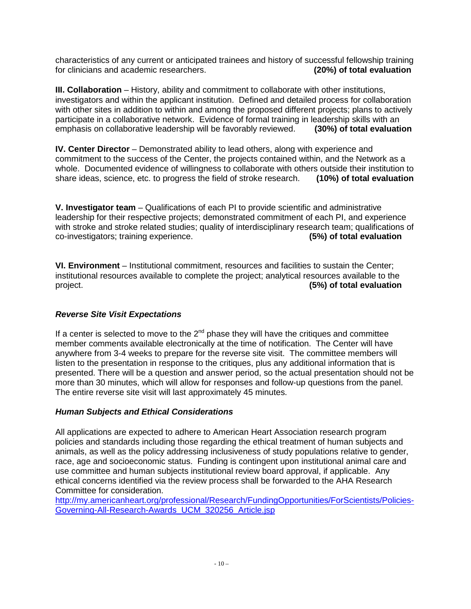characteristics of any current or anticipated trainees and history of successful fellowship training for clinicians and academic researchers. **(20%) of total evaluation**

**III. Collaboration** – History, ability and commitment to collaborate with other institutions, investigators and within the applicant institution. Defined and detailed process for collaboration with other sites in addition to within and among the proposed different projects; plans to actively participate in a collaborative network. Evidence of formal training in leadership skills with an emphasis on collaborative leadership will be favorably reviewed. **(30%) of total evaluation**

**IV. Center Director** – Demonstrated ability to lead others, along with experience and commitment to the success of the Center, the projects contained within, and the Network as a whole. Documented evidence of willingness to collaborate with others outside their institution to share ideas, science, etc. to progress the field of stroke research. (10%) of total evaluation share ideas, science, etc. to progress the field of stroke research.

**V. Investigator team** – Qualifications of each PI to provide scientific and administrative leadership for their respective projects; demonstrated commitment of each PI, and experience with stroke and stroke related studies; quality of interdisciplinary research team; qualifications of co-investigators; training experience.  $\overline{\text{co-investigators}}$ ; training experience.

**VI. Environment** – Institutional commitment, resources and facilities to sustain the Center; institutional resources available to complete the project; analytical resources available to the project. **(5%) of total evaluation**

## *Reverse Site Visit Expectations*

If a center is selected to move to the  $2<sup>nd</sup>$  phase they will have the critiques and committee member comments available electronically at the time of notification. The Center will have anywhere from 3-4 weeks to prepare for the reverse site visit. The committee members will listen to the presentation in response to the critiques, plus any additional information that is presented. There will be a question and answer period, so the actual presentation should not be more than 30 minutes, which will allow for responses and follow-up questions from the panel. The entire reverse site visit will last approximately 45 minutes.

#### *Human Subjects and Ethical Considerations*

All applications are expected to adhere to American Heart Association research program policies and standards including those regarding the ethical treatment of human subjects and animals, as well as the policy addressing inclusiveness of study populations relative to gender, race, age and socioeconomic status. Funding is contingent upon institutional animal care and use committee and human subjects institutional review board approval, if applicable. Any ethical concerns identified via the review process shall be forwarded to the AHA Research Committee for consideration.

[http://my.americanheart.org/professional/Research/FundingOpportunities/ForScientists/Policies-](http://my.americanheart.org/professional/Research/FundingOpportunities/ForScientists/Policies-Governing-All-Research-Awards_UCM_320256_Article.jsp)[Governing-All-Research-Awards\\_UCM\\_320256\\_Article.jsp](http://my.americanheart.org/professional/Research/FundingOpportunities/ForScientists/Policies-Governing-All-Research-Awards_UCM_320256_Article.jsp)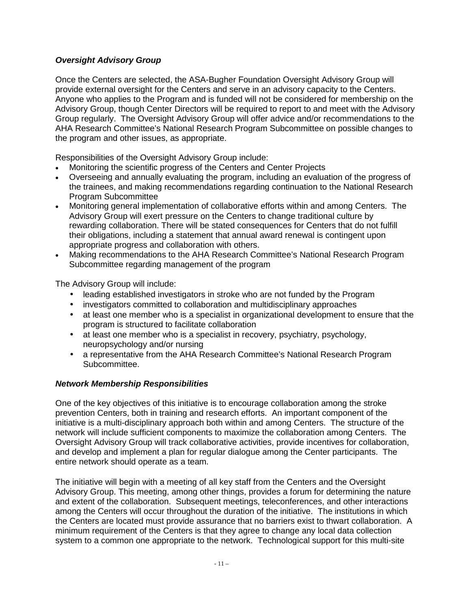## *Oversight Advisory Group*

Once the Centers are selected, the ASA-Bugher Foundation Oversight Advisory Group will provide external oversight for the Centers and serve in an advisory capacity to the Centers. Anyone who applies to the Program and is funded will not be considered for membership on the Advisory Group, though Center Directors will be required to report to and meet with the Advisory Group regularly. The Oversight Advisory Group will offer advice and/or recommendations to the AHA Research Committee's National Research Program Subcommittee on possible changes to the program and other issues, as appropriate.

Responsibilities of the Oversight Advisory Group include:

- Monitoring the scientific progress of the Centers and Center Projects
- Overseeing and annually evaluating the program, including an evaluation of the progress of the trainees, and making recommendations regarding continuation to the National Research Program Subcommittee
- Monitoring general implementation of collaborative efforts within and among Centers. The Advisory Group will exert pressure on the Centers to change traditional culture by rewarding collaboration. There will be stated consequences for Centers that do not fulfill their obligations, including a statement that annual award renewal is contingent upon appropriate progress and collaboration with others.
- Making recommendations to the AHA Research Committee's National Research Program Subcommittee regarding management of the program

The Advisory Group will include:

- leading established investigators in stroke who are not funded by the Program
- investigators committed to collaboration and multidisciplinary approaches
- at least one member who is a specialist in organizational development to ensure that the program is structured to facilitate collaboration
- at least one member who is a specialist in recovery, psychiatry, psychology, neuropsychology and/or nursing
- a representative from the AHA Research Committee's National Research Program Subcommittee.

#### *Network Membership Responsibilities*

One of the key objectives of this initiative is to encourage collaboration among the stroke prevention Centers, both in training and research efforts. An important component of the initiative is a multi-disciplinary approach both within and among Centers. The structure of the network will include sufficient components to maximize the collaboration among Centers. The Oversight Advisory Group will track collaborative activities, provide incentives for collaboration, and develop and implement a plan for regular dialogue among the Center participants. The entire network should operate as a team.

The initiative will begin with a meeting of all key staff from the Centers and the Oversight Advisory Group. This meeting, among other things, provides a forum for determining the nature and extent of the collaboration. Subsequent meetings, teleconferences, and other interactions among the Centers will occur throughout the duration of the initiative. The institutions in which the Centers are located must provide assurance that no barriers exist to thwart collaboration. A minimum requirement of the Centers is that they agree to change any local data collection system to a common one appropriate to the network. Technological support for this multi-site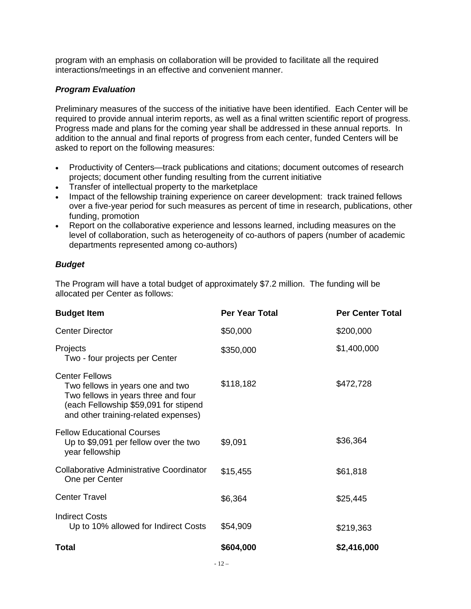program with an emphasis on collaboration will be provided to facilitate all the required interactions/meetings in an effective and convenient manner.

#### *Program Evaluation*

Preliminary measures of the success of the initiative have been identified. Each Center will be required to provide annual interim reports, as well as a final written scientific report of progress. Progress made and plans for the coming year shall be addressed in these annual reports. In addition to the annual and final reports of progress from each center, funded Centers will be asked to report on the following measures:

- Productivity of Centers—track publications and citations; document outcomes of research projects; document other funding resulting from the current initiative
- Transfer of intellectual property to the marketplace
- Impact of the fellowship training experience on career development: track trained fellows over a five-year period for such measures as percent of time in research, publications, other funding, promotion
- Report on the collaborative experience and lessons learned, including measures on the level of collaboration, such as heterogeneity of co-authors of papers (number of academic departments represented among co-authors)

### *Budget*

The Program will have a total budget of approximately \$7.2 million. The funding will be allocated per Center as follows:

| <b>Budget Item</b>                                                                                                                                                                | <b>Per Year Total</b> | <b>Per Center Total</b> |
|-----------------------------------------------------------------------------------------------------------------------------------------------------------------------------------|-----------------------|-------------------------|
| <b>Center Director</b>                                                                                                                                                            | \$50,000              | \$200,000               |
| Projects<br>Two - four projects per Center                                                                                                                                        | \$350,000             | \$1,400,000             |
| <b>Center Fellows</b><br>Two fellows in years one and two<br>Two fellows in years three and four<br>(each Fellowship \$59,091 for stipend<br>and other training-related expenses) | \$118,182             | \$472,728               |
| <b>Fellow Educational Courses</b><br>Up to \$9,091 per fellow over the two<br>year fellowship                                                                                     | \$9,091               | \$36,364                |
| <b>Collaborative Administrative Coordinator</b><br>One per Center                                                                                                                 | \$15,455              | \$61,818                |
| <b>Center Travel</b>                                                                                                                                                              | \$6,364               | \$25,445                |
| <b>Indirect Costs</b><br>Up to 10% allowed for Indirect Costs                                                                                                                     | \$54,909              | \$219,363               |
| Total                                                                                                                                                                             | \$604,000             | \$2,416,000             |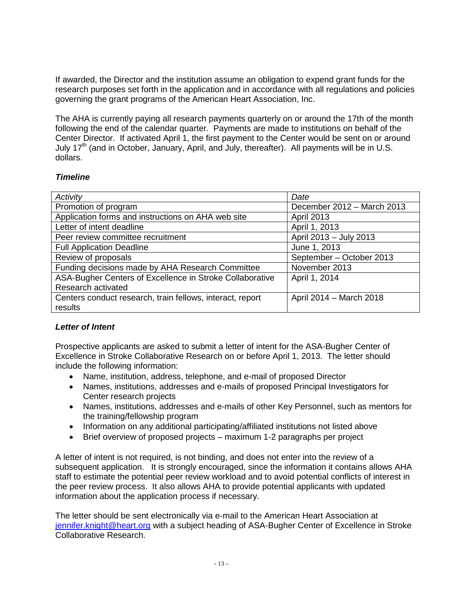If awarded, the Director and the institution assume an obligation to expend grant funds for the research purposes set forth in the application and in accordance with all regulations and policies governing the grant programs of the American Heart Association, Inc.

The AHA is currently paying all research payments quarterly on or around the 17th of the month following the end of the calendar quarter. Payments are made to institutions on behalf of the Center Director. If activated April 1, the first payment to the Center would be sent on or around July 17<sup>th</sup> (and in October, January, April, and July, thereafter). All payments will be in U.S. dollars.

### *Timeline*

| Activity                                                  | Date                       |
|-----------------------------------------------------------|----------------------------|
| Promotion of program                                      | December 2012 - March 2013 |
| Application forms and instructions on AHA web site        | <b>April 2013</b>          |
| Letter of intent deadline                                 | April 1, 2013              |
| Peer review committee recruitment                         | April 2013 - July 2013     |
| <b>Full Application Deadline</b>                          | June 1, 2013               |
| Review of proposals                                       | September - October 2013   |
| Funding decisions made by AHA Research Committee          | November 2013              |
| ASA-Bugher Centers of Excellence in Stroke Collaborative  | April 1, 2014              |
| Research activated                                        |                            |
| Centers conduct research, train fellows, interact, report | April 2014 - March 2018    |
| results                                                   |                            |

## *Letter of Intent*

Prospective applicants are asked to submit a letter of intent for the ASA-Bugher Center of Excellence in Stroke Collaborative Research on or before April 1, 2013. The letter should include the following information:

- Name, institution, address, telephone, and e-mail of proposed Director
- Names, institutions, addresses and e-mails of proposed Principal Investigators for Center research projects
- Names, institutions, addresses and e-mails of other Key Personnel, such as mentors for the training/fellowship program
- Information on any additional participating/affiliated institutions not listed above
- Brief overview of proposed projects maximum 1-2 paragraphs per project

A letter of intent is not required, is not binding, and does not enter into the review of a subsequent application. It is strongly encouraged, since the information it contains allows AHA staff to estimate the potential peer review workload and to avoid potential conflicts of interest in the peer review process. It also allows AHA to provide potential applicants with updated information about the application process if necessary.

The letter should be sent electronically via e-mail to the American Heart Association at [jennifer.knight@heart.org](mailto:jennifer.knight@heart.org) with a subject heading of ASA-Bugher Center of Excellence in Stroke Collaborative Research.